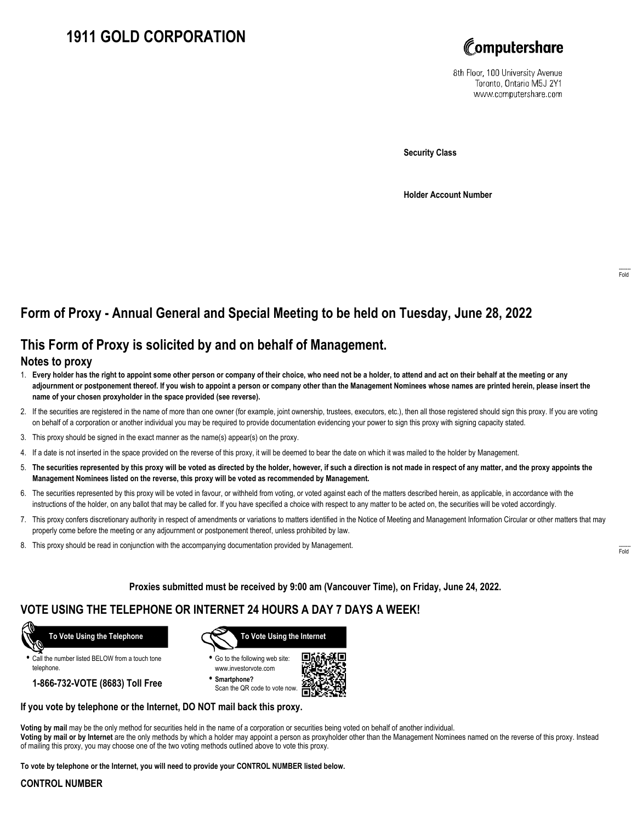# **1911 GOLD CORPORATION**



8th Floor, 100 University Avenue Toronto, Ontario M5J 2Y1 www.computershare.com

**Security Class**

**Holder Account Number**

## **Form of Proxy - Annual General and Special Meeting to be held on Tuesday, June 28, 2022**

## **This Form of Proxy is solicited by and on behalf of Management.**

#### **Notes to proxy**

- 1. **Every holder has the right to appoint some other person or company of their choice, who need not be a holder, to attend and act on their behalf at the meeting or any adjournment or postponement thereof. If you wish to appoint a person or company other than the Management Nominees whose names are printed herein, please insert the name of your chosen proxyholder in the space provided (see reverse).**
- 2. If the securities are registered in the name of more than one owner (for example, joint ownership, trustees, executors, etc.), then all those registered should sign this proxy. If you are voting on behalf of a corporation or another individual you may be required to provide documentation evidencing your power to sign this proxy with signing capacity stated.
- 3. This proxy should be signed in the exact manner as the name(s) appear(s) on the proxy.
- 4. If a date is not inserted in the space provided on the reverse of this proxy, it will be deemed to bear the date on which it was mailed to the holder by Management.
- 5. **The securities represented by this proxy will be voted as directed by the holder, however, if such a direction is not made in respect of any matter, and the proxy appoints the Management Nominees listed on the reverse, this proxy will be voted as recommended by Management.**
- 6. The securities represented by this proxy will be voted in favour, or withheld from voting, or voted against each of the matters described herein, as applicable, in accordance with the instructions of the holder, on any ballot that may be called for. If you have specified a choice with respect to any matter to be acted on, the securities will be voted accordingly.
- 7. This proxy confers discretionary authority in respect of amendments or variations to matters identified in the Notice of Meeting and Management Information Circular or other matters that may properly come before the meeting or any adjournment or postponement thereof, unless prohibited by law.
- 8. This proxy should be read in conjunction with the accompanying documentation provided by Management.

**Proxies submitted must be received by 9:00 am (Vancouver Time), on Friday, June 24, 2022.**

### **VOTE USING THE TELEPHONE OR INTERNET 24 HOURS A DAY 7 DAYS A WEEK!**



**•** Call the number listed BELOW from a touch tone telephone.

**1-866-732-VOTE (8683) Toll Free**



**•** Go to the following web site: www.investorvote.com

**• Smartphone?** Scan the QR code to vote now.



#### **If you vote by telephone or the Internet, DO NOT mail back this proxy.**

**Voting by mail** may be the only method for securities held in the name of a corporation or securities being voted on behalf of another individual. **Voting by mail or by Internet** are the only methods by which a holder may appoint a person as proxyholder other than the Management Nominees named on the reverse of this proxy. Instead of mailing this proxy, you may choose one of the two voting methods outlined above to vote this proxy.

**To vote by telephone or the Internet, you will need to provide your CONTROL NUMBER listed below.**

#### **CONTROL NUMBER**